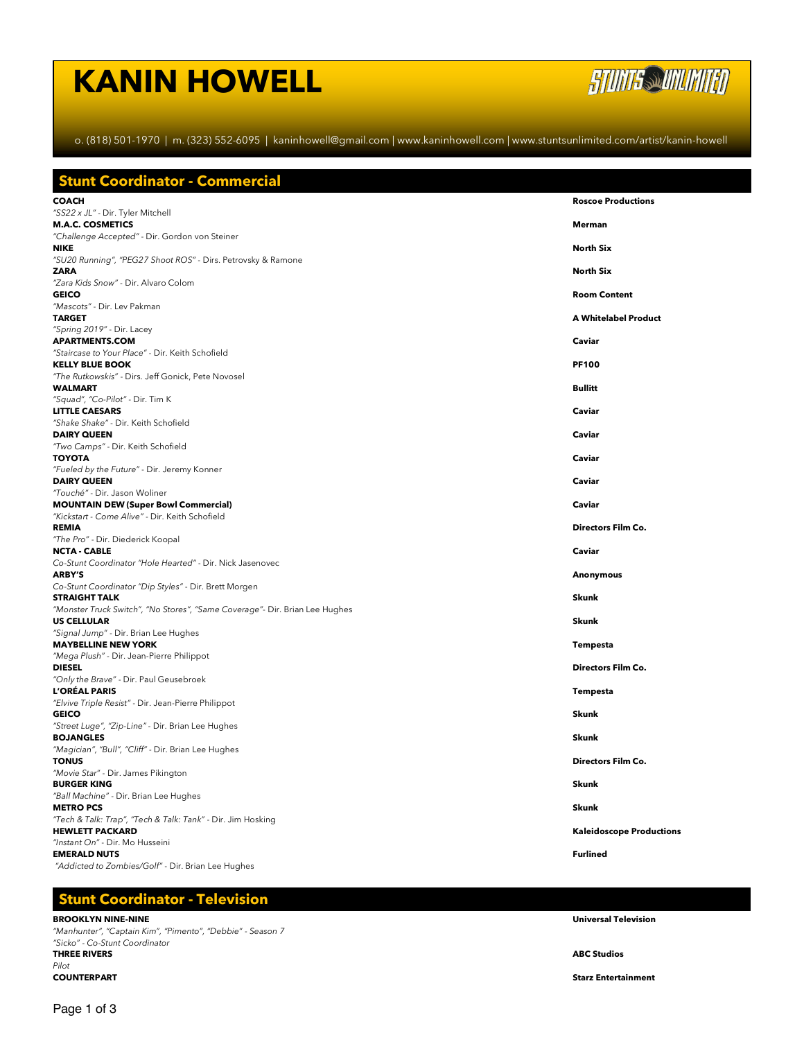# **KANIN HOWELL**



o. (818) 501-1970 | m. (323) 552-6095 | kaninhowell@gmail.com | www.kaninhowell.com | www.stuntsunlimited.com/artist/kanin-howell

| <b>Roscoe Productions</b>       |
|---------------------------------|
|                                 |
|                                 |
|                                 |
| Merman                          |
| <b>North Six</b>                |
|                                 |
| <b>North Six</b>                |
| <b>Room Content</b>             |
|                                 |
| A Whitelabel Product            |
|                                 |
| Caviar                          |
| <b>PF100</b>                    |
|                                 |
| <b>Bullitt</b>                  |
| Caviar                          |
|                                 |
| Caviar                          |
| Caviar                          |
|                                 |
| Caviar                          |
|                                 |
| Caviar                          |
| <b>Directors Film Co.</b>       |
|                                 |
| Caviar                          |
| Anonymous                       |
|                                 |
| Skunk                           |
| Skunk                           |
|                                 |
| Tempesta                        |
| <b>Directors Film Co.</b>       |
|                                 |
| Tempesta                        |
| Skunk                           |
|                                 |
| Skunk                           |
|                                 |
| Directors Film Co.              |
| Skunk                           |
|                                 |
| Skunk                           |
| <b>Kaleidoscope Productions</b> |
|                                 |
| <b>Furlined</b>                 |
|                                 |
|                                 |

# **Stunt Coordinator - Television**

**BROOKLYN NINE-NINE Universal Television** *"Manhunter", "Captain Kim", "Pimento", "Debbie" - Season 7 "Sicko" - Co-Stunt Coordinator* **THREE RIVERS ABC Studios** *Pilot*

**Starz Entertainment**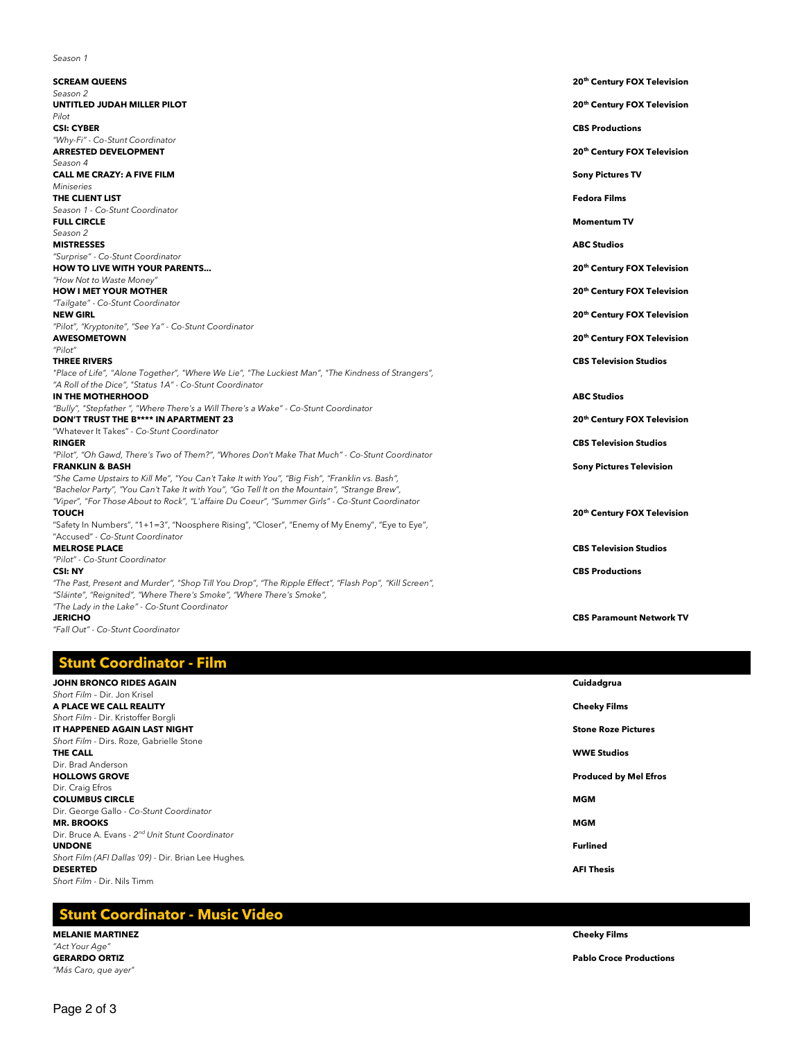|--|

| <b>SCREAM QUEENS</b>                                                                                   | 20th Century FOX Television     |
|--------------------------------------------------------------------------------------------------------|---------------------------------|
| Season 2                                                                                               |                                 |
| UNTITLED JUDAH MILLER PILOT                                                                            | 20th Century FOX Television     |
| Pilot                                                                                                  |                                 |
| <b>CSI: CYBER</b>                                                                                      | <b>CBS Productions</b>          |
| "Why-Fi" - Co-Stunt Coordinator                                                                        |                                 |
| <b>ARRESTED DEVELOPMENT</b>                                                                            | 20th Century FOX Television     |
| Season 4                                                                                               |                                 |
| <b>CALL ME CRAZY: A FIVE FILM</b>                                                                      | <b>Sony Pictures TV</b>         |
| <b>Miniseries</b>                                                                                      |                                 |
| THE CLIENT LIST                                                                                        | <b>Fedora Films</b>             |
| Season 1 - Co-Stunt Coordinator                                                                        |                                 |
| <b>FULL CIRCLE</b>                                                                                     | <b>Momentum TV</b>              |
| Season 2                                                                                               |                                 |
| <b>MISTRESSES</b>                                                                                      | <b>ABC Studios</b>              |
| "Surprise" - Co-Stunt Coordinator                                                                      |                                 |
| <b>HOW TO LIVE WITH YOUR PARENTS</b>                                                                   | 20th Century FOX Television     |
| "How Not to Waste Money"                                                                               |                                 |
| <b>HOW I MET YOUR MOTHER</b>                                                                           | 20th Century FOX Television     |
| "Tailgate" - Co-Stunt Coordinator                                                                      |                                 |
| <b>NEW GIRL</b>                                                                                        | 20th Century FOX Television     |
| "Pilot", "Kryptonite", "See Ya" - Co-Stunt Coordinator                                                 |                                 |
| <b>AWESOMETOWN</b>                                                                                     | 20th Century FOX Television     |
| "Pilot"                                                                                                |                                 |
| <b>THREE RIVERS</b>                                                                                    | <b>CBS Television Studios</b>   |
| "Place of Life", "Alone Together", "Where We Lie", "The Luckiest Man", "The Kindness of Strangers",    |                                 |
| "A Roll of the Dice", "Status 1A" - Co-Stunt Coordinator                                               |                                 |
| IN THE MOTHERHOOD                                                                                      | <b>ABC Studios</b>              |
| "Bully", "Stepfather ", "Where There's a Will There's a Wake" - Co-Stunt Coordinator                   |                                 |
| DON'T TRUST THE B**** IN APARTMENT 23                                                                  | 20th Century FOX Television     |
| "Whatever It Takes" - Co-Stunt Coordinator                                                             |                                 |
| <b>RINGER</b>                                                                                          | <b>CBS Television Studios</b>   |
| "Pilot", "Oh Gawd, There's Two of Them?", "Whores Don't Make That Much" - Co-Stunt Coordinator         |                                 |
| <b>FRANKLIN &amp; BASH</b>                                                                             | <b>Sony Pictures Television</b> |
| "She Came Upstairs to Kill Me", "You Can't Take It with You", "Big Fish", "Franklin vs. Bash",         |                                 |
| "Bachelor Party", "You Can't Take It with You", "Go Tell It on the Mountain", "Strange Brew",          |                                 |
| "Viper", "For Those About to Rock", "L'affaire Du Coeur", "Summer Girls" - Co-Stunt Coordinator        |                                 |
| <b>TOUCH</b>                                                                                           | 20th Century FOX Television     |
| "Safety In Numbers", "1+1=3", "Noosphere Rising", "Closer", "Enemy of My Enemy", "Eye to Eye",         |                                 |
| "Accused" - Co-Stunt Coordinator                                                                       |                                 |
| <b>MELROSE PLACE</b>                                                                                   | <b>CBS Television Studios</b>   |
| "Pilot" - Co-Stunt Coordinator                                                                         |                                 |
| <b>CSI: NY</b>                                                                                         | <b>CBS Productions</b>          |
| "The Past, Present and Murder", "Shop Till You Drop", "The Ripple Effect", "Flash Pop", "Kill Screen", |                                 |
| "Sláinte", "Reignited", "Where There's Smoke", "Where There's Smoke",                                  |                                 |
| "The Lady in the Lake" - Co-Stunt Coordinator                                                          |                                 |
| <b>JERICHO</b>                                                                                         | <b>CBS Paramount Network TV</b> |

*"Fall Out" - Co-Stunt Coordinator*

## **Stunt Coordinator - Film**

| JOHN BRONCO RIDES AGAIN                                      | Cuidadgrua                   |
|--------------------------------------------------------------|------------------------------|
| Short Film - Dir. Jon Krisel                                 |                              |
| A PLACE WE CALL REALITY                                      | <b>Cheeky Films</b>          |
| Short Film - Dir. Kristoffer Borgli                          |                              |
| IT HAPPENED AGAIN LAST NIGHT                                 | <b>Stone Roze Pictures</b>   |
| Short Film - Dirs. Roze, Gabrielle Stone                     |                              |
| THE CALL                                                     | <b>WWE Studios</b>           |
| Dir. Brad Anderson                                           |                              |
| <b>HOLLOWS GROVE</b>                                         | <b>Produced by Mel Efros</b> |
| Dir. Craig Efros                                             |                              |
| <b>COLUMBUS CIRCLE</b>                                       | <b>MGM</b>                   |
| Dir. George Gallo - Co-Stunt Coordinator                     |                              |
| <b>MR. BROOKS</b>                                            | <b>MGM</b>                   |
| Dir, Bruce A. Evans - 2 <sup>nd</sup> Unit Stunt Coordinator |                              |
| <b>UNDONE</b>                                                | Furlined                     |
| Short Film (AFI Dallas '09) - Dir. Brian Lee Hughes.         |                              |
| <b>DESERTED</b>                                              | <b>AFI Thesis</b>            |
| Short Film - Dir. Nils Timm                                  |                              |
|                                                              |                              |

# **Stunt Coordinator - Music Video**

### **MELANIE MARTINEZ Cheeky Films** *"Act Your Age" "Más Caro, que ayer"*

**GERARDO ORTIZ Pablo Croce Productions**